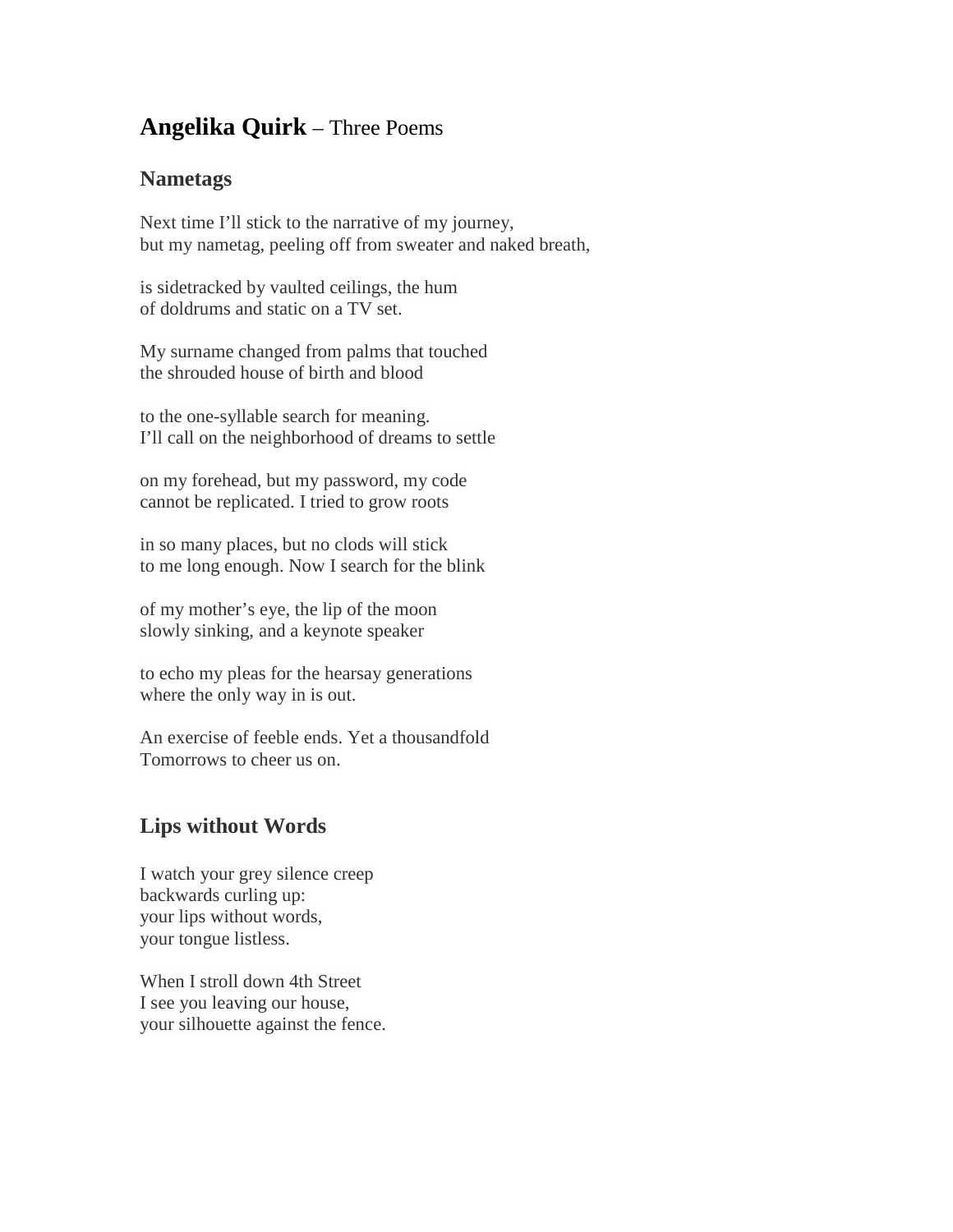## **Angelika Quirk** – Three Poems

## **Nametags**

Next time I'll stick to the narrative of my journey, but my nametag, peeling off from sweater and naked breath,

is sidetracked by vaulted ceilings, the hum of doldrums and static on a TV set.

My surname changed from palms that touched the shrouded house of birth and blood

to the one-syllable search for meaning. I'll call on the neighborhood of dreams to settle

on my forehead, but my password, my code cannot be replicated. I tried to grow roots

in so many places, but no clods will stick to me long enough. Now I search for the blink

of my mother's eye, the lip of the moon slowly sinking, and a keynote speaker

to echo my pleas for the hearsay generations where the only way in is out.

An exercise of feeble ends. Yet a thousandfold Tomorrows to cheer us on.

## **Lips without Words**

I watch your grey silence creep backwards curling up: your lips without words, your tongue listless.

When I stroll down 4th Street I see you leaving our house, your silhouette against the fence.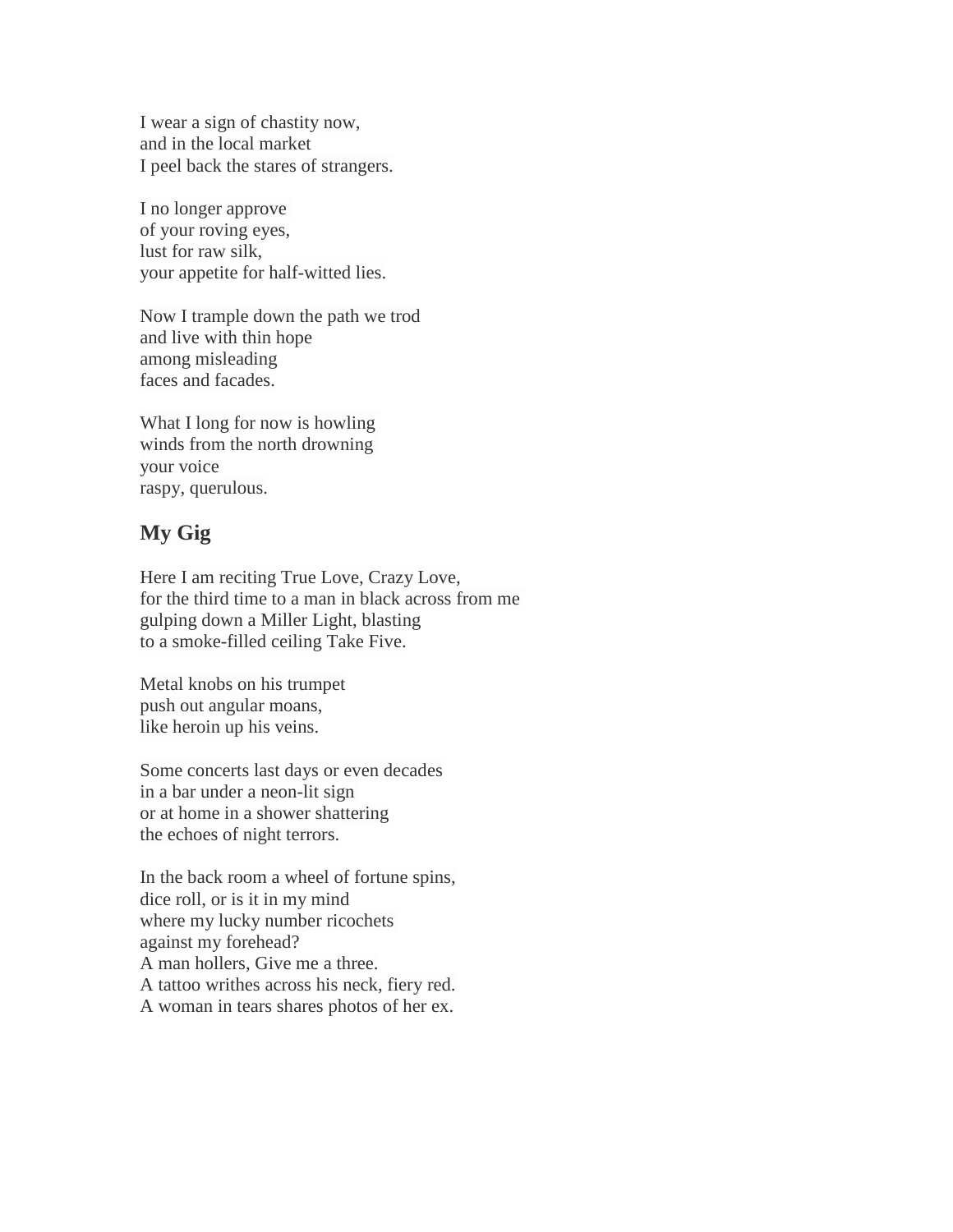I wear a sign of chastity now, and in the local market I peel back the stares of strangers.

I no longer approve of your roving eyes, lust for raw silk, your appetite for half-witted lies.

Now I trample down the path we trod and live with thin hope among misleading faces and facades.

What I long for now is howling winds from the north drowning your voice raspy, querulous.

## **My Gig**

Here I am reciting True Love, Crazy Love, for the third time to a man in black across from me gulping down a Miller Light, blasting to a smoke-filled ceiling Take Five.

Metal knobs on his trumpet push out angular moans, like heroin up his veins.

Some concerts last days or even decades in a bar under a neon-lit sign or at home in a shower shattering the echoes of night terrors.

In the back room a wheel of fortune spins, dice roll, or is it in my mind where my lucky number ricochets against my forehead? A man hollers, Give me a three. A tattoo writhes across his neck, fiery red. A woman in tears shares photos of her ex.